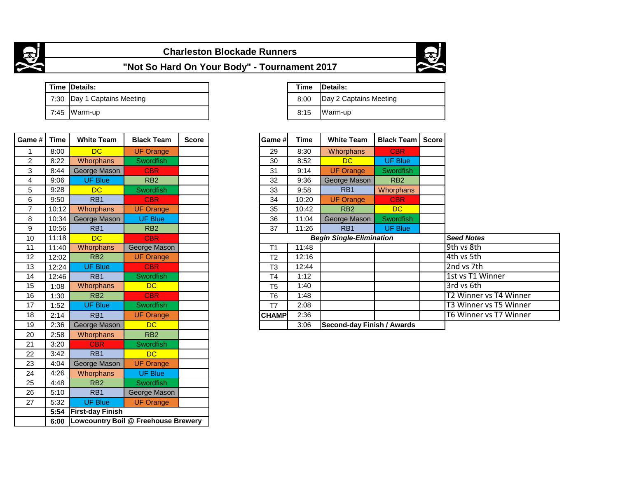

## **Charleston Blockade Runners**



**"Not So Hard On Your Body" - Tournament 2017**

|  | Time Details:                 | Time |
|--|-------------------------------|------|
|  | 7:30   Day 1 Captains Meeting | 8:00 |
|  | 7:45 Warm-up                  | 8:15 |

| Game #         | <b>Time</b> | <b>White Team</b>       | <b>Black Team</b>                          | <b>Score</b> | Game #l        | <b>Time</b> | <b>White Team</b>                 | <b>Black Team</b> | <b>Score</b> |
|----------------|-------------|-------------------------|--------------------------------------------|--------------|----------------|-------------|-----------------------------------|-------------------|--------------|
| 1              | 8:00        | <b>DC</b>               | <b>UF Orange</b>                           |              | 29             | 8:30        | Whorphans                         | <b>CBR</b>        |              |
| $\overline{c}$ | 8:22        | Whorphans               | Swordfish                                  |              | 30             | 8:52        | <b>DC</b>                         | <b>UF Blue</b>    |              |
| 3              | 8:44        | George Mason            | <b>CBR</b>                                 |              | 31             | 9:14        | <b>UF Orange</b>                  | Swordfish         |              |
| 4              | 9:06        | <b>UF Blue</b>          | RB <sub>2</sub>                            |              | 32             | 9:36        | George Mason                      | RB <sub>2</sub>   |              |
| 5              | 9:28        | <b>DC</b>               | Swordfish                                  |              | 33             | 9:58        | RB1                               | <b>Whorphans</b>  |              |
| 6              | 9:50        | RB1                     | <b>CBR</b>                                 |              | 34             | 10:20       | <b>UF Orange</b>                  | <b>CBR</b>        |              |
| $\overline{7}$ | 10:12       | Whorphans               | <b>UF Orange</b>                           |              | 35             | 10:42       | RB <sub>2</sub>                   | <b>DC</b>         |              |
| 8              | 10:34       | George Mason            | <b>UF Blue</b>                             |              | 36             | 11:04       | George Mason                      | Swordfish         |              |
| 9              | 10:56       | RB <sub>1</sub>         | RB <sub>2</sub>                            |              | 37             | 11:26       | RB1                               | <b>UF Blue</b>    |              |
| 10             | 11:18       | DC                      | <b>CBR</b>                                 |              |                |             | <b>Begin Single-Elimination</b>   |                   |              |
| 11             | 11:40       | Whorphans               | George Mason                               |              | T1             | 11:48       |                                   |                   |              |
| 12             | 12:02       | RB <sub>2</sub>         | <b>UF Orange</b>                           |              | T <sub>2</sub> | 12:16       |                                   |                   |              |
| 13             | 12:24       | <b>UF Blue</b>          | <b>CBR</b>                                 |              | T <sub>3</sub> | 12:44       |                                   |                   |              |
| 14             | 12:46       | RB <sub>1</sub>         | <b>Swordfish</b>                           |              | T <sub>4</sub> | 1:12        |                                   |                   |              |
| 15             | 1:08        | Whorphans               | DC.                                        |              | T <sub>5</sub> | 1:40        |                                   |                   |              |
| 16             | 1:30        | RB2                     | <b>CBR</b>                                 |              | T <sub>6</sub> | 1:48        |                                   |                   |              |
| 17             | 1:52        | <b>UF Blue</b>          | <b>Swordfish</b>                           |              | T7             | 2:08        |                                   |                   |              |
| 18             | 2:14        | RB1                     | <b>UF Orange</b>                           |              | <b>CHAMP</b>   | 2:36        |                                   |                   |              |
| 19             | 2:36        | George Mason            | DC.                                        |              |                | 3:06        | <b>Second-day Finish / Awards</b> |                   |              |
| 20             | 2:58        | Whorphans               | RB <sub>2</sub>                            |              |                |             |                                   |                   |              |
| 21             | 3:20        | <b>CBR</b>              | <b>Swordfish</b>                           |              |                |             |                                   |                   |              |
| 22             | 3:42        | RB <sub>1</sub>         | DC.                                        |              |                |             |                                   |                   |              |
| 23             | 4:04        | George Mason            | <b>UF Orange</b>                           |              |                |             |                                   |                   |              |
| 24             | 4:26        | Whorphans               | <b>UF Blue</b>                             |              |                |             |                                   |                   |              |
| 25             | 4:48        | R <sub>B2</sub>         | Swordfish                                  |              |                |             |                                   |                   |              |
| 26             | 5:10        | RB1                     | George Mason                               |              |                |             |                                   |                   |              |
| 27             | 5:32        | <b>UF Blue</b>          | <b>UF Orange</b>                           |              |                |             |                                   |                   |              |
|                | 5:54        | <b>First-day Finish</b> |                                            |              |                |             |                                   |                   |              |
|                | 6:00        |                         | <b>Lowcountry Boil @ Freehouse Brewery</b> |              |                |             |                                   |                   |              |

| Time Details:                 |
|-------------------------------|
| 8:00   Day 2 Captains Meeting |
| 8:15   Warm-up                |

| Game #       | <b>Time</b>                        | <b>White Team</b>               | <b>Black Team</b> | <b>Score</b> |                        |
|--------------|------------------------------------|---------------------------------|-------------------|--------------|------------------------|
| 29           | 8:30                               | <b>Whorphans</b>                | <b>CBR</b>        |              |                        |
| 30           | 8:52                               | <b>DC</b>                       | <b>UF Blue</b>    |              |                        |
| 31           | 9:14                               | <b>UF Orange</b>                | <b>Swordfish</b>  |              |                        |
| 32           | 9:36                               | George Mason                    | RB <sub>2</sub>   |              |                        |
| 33           | 9:58                               | RB <sub>1</sub>                 | Whorphans         |              |                        |
| 34           | 10:20                              | <b>UF Orange</b>                | <b>CBR</b>        |              |                        |
| 35           | 10:42                              | R <sub>B2</sub>                 | DC.               |              |                        |
| 36           | 11:04                              | George Mason                    | <b>Swordfish</b>  |              |                        |
| 37           | 11:26                              | R <sub>B</sub> 1                | <b>UF Blue</b>    |              |                        |
|              |                                    | <b>Begin Single-Elimination</b> |                   |              | <b>Seed Notes</b>      |
| T1           | 11:48                              |                                 |                   | 9th ys 8th   |                        |
| Т2           | 12:16                              |                                 |                   | 4th vs 5th   |                        |
| 12:44<br>T3  |                                    |                                 | 2nd vs 7th        |              |                        |
| Τ4           | 1:12                               |                                 |                   |              | 1st vs T1 Winner       |
| T5           | 1:40                               |                                 |                   |              | 3rd vs 6th             |
| T6           | 1:48                               |                                 |                   |              | T2 Winner vs T4 Winner |
| T7           | 2:08                               |                                 |                   |              | T3 Winner vs T5 Winner |
| <b>CHAMP</b> | 2:36                               |                                 |                   |              | T6 Winner vs T7 Winner |
|              | 3:06<br>Second-day Finish / Awards |                                 |                   |              |                        |